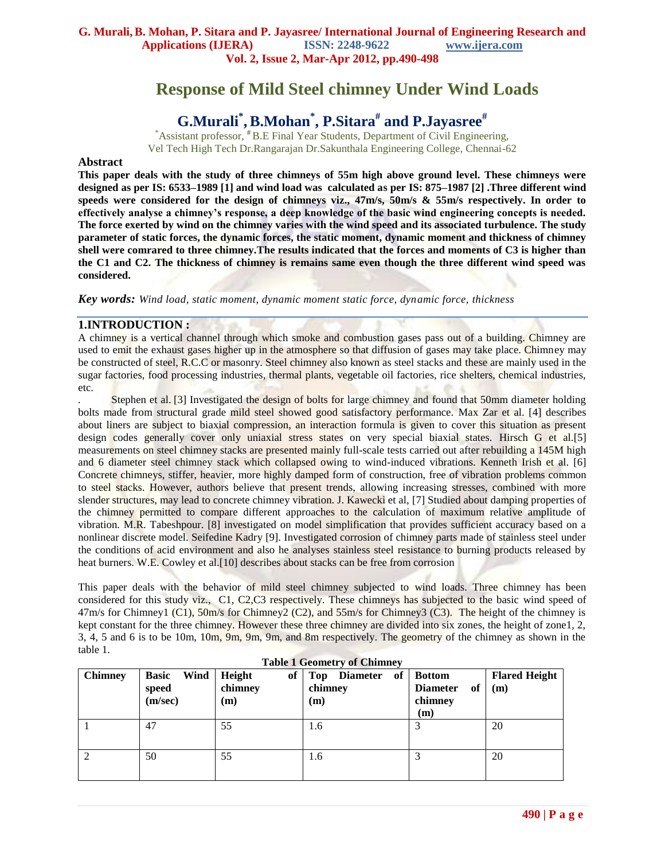# **Response of Mild Steel chimney Under Wind Loads**

# **G.Murali\* ,B.Mohan\* , P.Sitara# and P.Jayasree#**

\*Assistant professor, **#** B.E Final Year Students, Department of Civil Engineering, Vel Tech High Tech Dr.Rangarajan Dr.Sakunthala Engineering College, Chennai-62

#### **Abstract**

**This paper deals with the study of three chimneys of 55m high above ground level. These chimneys were designed as per IS: 6533–1989 [1] and wind load was calculated as per IS: 875–1987 [2] .Three different wind speeds were considered for the design of chimneys viz., 47m/s, 50m/s & 55m/s respectively. In order to effectively analyse a chimney's response, a deep knowledge of the basic wind engineering concepts is needed. The force exerted by wind on the chimney varies with the wind speed and its associated turbulence. The study parameter of static forces, the dynamic forces, the static moment, dynamic moment and thickness of chimney shell were comrared to three chimney.The results indicated that the forces and moments of C3 is higher than the C1 and C2. The thickness of chimney is remains same even though the three different wind speed was considered.** 

*Key words: Wind load, static moment, dynamic moment static force, dynamic force, thickness*

#### **1.INTRODUCTION :**

A chimney is a vertical channel through which smoke and combustion gases pass out of a building. Chimney are used to emit the exhaust gases higher up in the atmosphere so that diffusion of gases may take place. Chimney may be constructed of steel, R.C.C or masonry. Steel chimney also known as steel stacks and these are mainly used in the sugar factories, food processing industries, thermal plants, vegetable oil factories, rice shelters, chemical industries, etc.

Stephen et al. [3] Investigated the design of bolts for large chimney and found that 50mm diameter holding bolts made from structural grade mild steel showed good satisfactory performance. Max Zar et al. [4] describes about liners are subject to biaxial compression, an interaction formula is given to cover this situation as present design codes generally cover only uniaxial stress states on very special biaxial states. Hirsch G et al.[5] measurements on steel chimney stacks are presented mainly full-scale tests carried out after rebuilding a 145M high and 6 diameter steel chimney stack which collapsed owing to wind-induced vibrations. Kenneth Irish et al. [6] Concrete chimneys, stiffer, heavier, more highly damped form of construction, free of vibration problems common to steel stacks. However, authors believe that present trends, allowing increasing stresses, combined with more slender structures, may lead to concrete chimney vibration. J. Kawecki et al, [7] Studied about damping properties of the chimney permitted to compare different approaches to the calculation of maximum relative amplitude of vibration*.* M.R. Tabeshpour. [8] investigated on model simplification that provides sufficient accuracy based on a nonlinear discrete model. Seifedine Kadry [9]. Investigated corrosion of chimney parts made of stainless steel under the conditions of acid environment and also he analyses stainless steel resistance to burning products released by heat burners. [W.E. Cowley](http://www.emeraldinsight.com/search.htm?ct=all&st1=W.E.+Cowley&fd1=aut&PHPSESSID=o1ta0mml7is2h05s1vuijj6lp0) et al.[10] describes about stacks can be free from corrosion

This paper deals with the behavior of mild steel chimney subjected to wind loads. Three chimney has been considered for this study viz., C1, C2,C3 respectively. These chimneys has subjected to the basic wind speed of 47m/s for Chimney1 (C1), 50m/s for Chimney2 (C2), and 55m/s for Chimney3 (C3). The height of the chimney is kept constant for the three chimney. However these three chimney are divided into six zones, the height of zone1, 2, 3, 4, 5 and 6 is to be 10m, 10m, 9m, 9m, 9m, and 8m respectively. The geometry of the chimney as shown in the table 1.

| <b>Table 1 Geometry of Chimney</b> |                                          |                                |                                                |                                                                  |                             |  |  |  |
|------------------------------------|------------------------------------------|--------------------------------|------------------------------------------------|------------------------------------------------------------------|-----------------------------|--|--|--|
| <b>Chimney</b>                     | Wind<br><b>Basic</b><br>speed<br>(m/sec) | Height<br>of<br>chimney<br>(m) | <b>Diameter</b><br>of<br>Top<br>chimney<br>(m) | <b>Bottom</b><br><b>Diameter</b><br>of<br>chimney<br>$\mathbf m$ | <b>Flared Height</b><br>(m) |  |  |  |
|                                    | 47                                       | 55                             | 1.6                                            |                                                                  | 20                          |  |  |  |
| $\overline{c}$                     | 50                                       | 55                             | 1.6                                            |                                                                  | 20                          |  |  |  |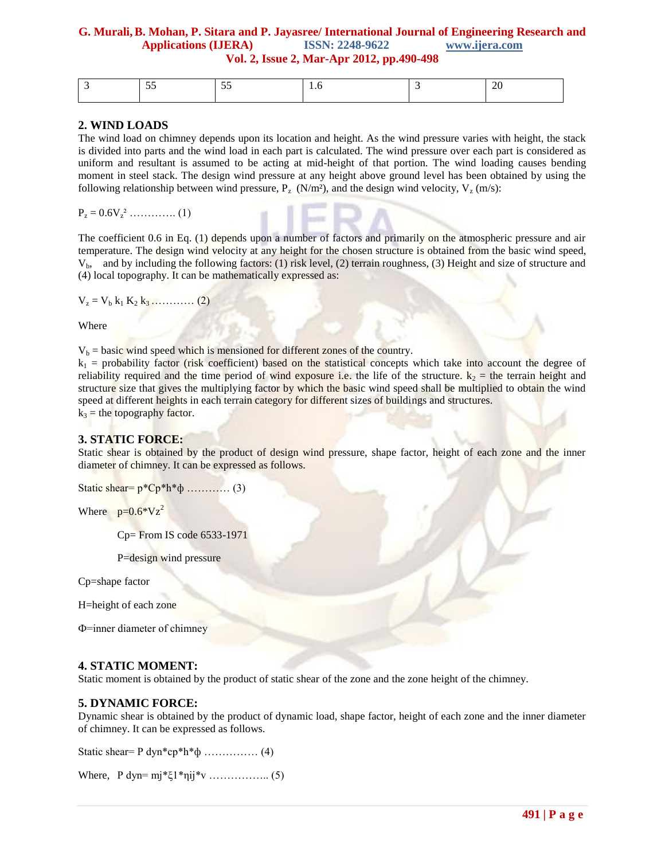|  | . . |  |  |
|--|-----|--|--|
|  |     |  |  |

#### **2. WIND LOADS**

The wind load on chimney depends upon its location and height. As the wind pressure varies with height, the stack is divided into parts and the wind load in each part is calculated. The wind pressure over each part is considered as uniform and resultant is assumed to be acting at mid-height of that portion. The wind loading causes bending moment in steel stack. The design wind pressure at any height above ground level has been obtained by using the following relationship between wind pressure,  $P_{\tau}$  (N/m<sup>2</sup>), and the design wind velocity,  $V_{\tau}$  (m/s):

 $P_z = 0.6V_z^2$  ………….. (1)

The coefficient 0.6 in Eq. (1) depends upon a number of factors and primarily on the atmospheric pressure and air temperature. The design wind velocity at any height for the chosen structure is obtained from the basic wind speed, Vb, and by including the following factors: (1) risk level, (2) terrain roughness, (3) Height and size of structure and (4) local topography. It can be mathematically expressed as:

 $V_z = V_b k_1 K_2 k_3 \ldots (2)$ 

Where

 $V_b$  = basic wind speed which is mensioned for different zones of the country.

 $k_1$  = probability factor (risk coefficient) based on the statistical concepts which take into account the degree of reliability required and the time period of wind exposure i.e. the life of the structure.  $k_2$  = the terrain height and structure size that gives the multiplying factor by which the basic wind speed shall be multiplied to obtain the wind speed at different heights in each terrain category for different sizes of buildings and structures.  $k_3$  = the topography factor.

### **3. STATIC FORCE:**

Static shear is obtained by the product of design wind pressure, shape factor, height of each zone and the inner diameter of chimney. It can be expressed as follows.

Static shear=  $p^*Cp^*h^*\phi$  ………… (3)

Where  $p=0.6*Vz^2$ 

Cp= From IS code 6533-1971

P=design wind pressure

Cp=shape factor

H=height of each zone

Ф=inner diameter of chimney

#### **4. STATIC MOMENT:**

Static moment is obtained by the product of static shear of the zone and the zone height of the chimney.

#### **5. DYNAMIC FORCE:**

Dynamic shear is obtained by the product of dynamic load, shape factor, height of each zone and the inner diameter of chimney. It can be expressed as follows.

Static shear =  $P$  dyn\*cp\*h\* $\phi$  …………… (4)

Where, P dyn= mj\*ξ1\*ηij\*v …………….. (5)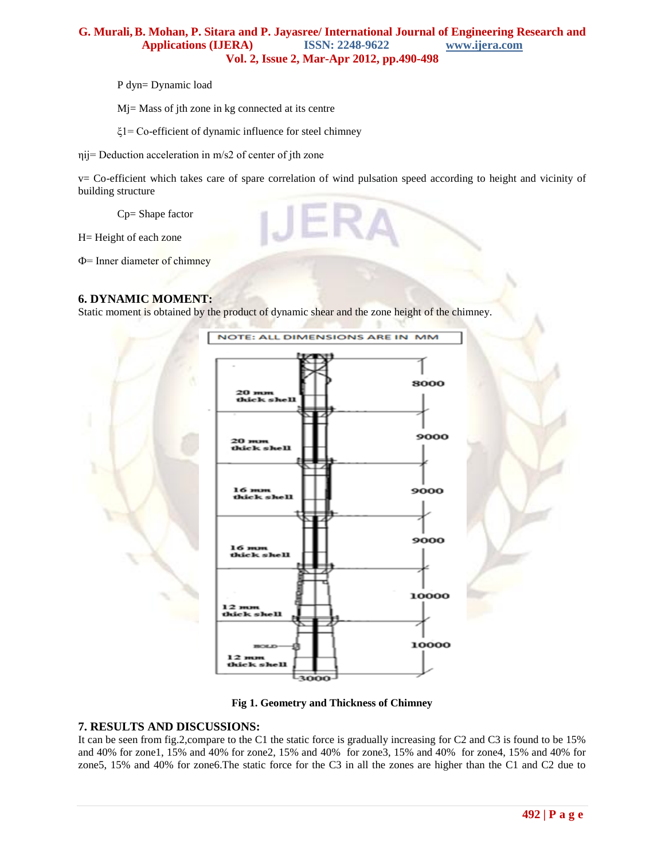P dyn= Dynamic load

Mj= Mass of jth zone in kg connected at its centre

ξ1= Co-efficient of dynamic influence for steel chimney

ηij= Deduction acceleration in m/s2 of center of jth zone

v= Co-efficient which takes care of spare correlation of wind pulsation speed according to height and vicinity of building structure

Cp= Shape factor

H= Height of each zone

Ф= Inner diameter of chimney

### **6. DYNAMIC MOMENT:**

Static moment is obtained by the product of dynamic shear and the zone height of the chimney.





#### **7. RESULTS AND DISCUSSIONS:**

It can be seen from fig.2,compare to the C1 the static force is gradually increasing for C2 and C3 is found to be 15% and 40% for zone1, 15% and 40% for zone2, 15% and 40% for zone3, 15% and 40% for zone4, 15% and 40% for zone5, 15% and 40% for zone6.The static force for the C3 in all the zones are higher than the C1 and C2 due to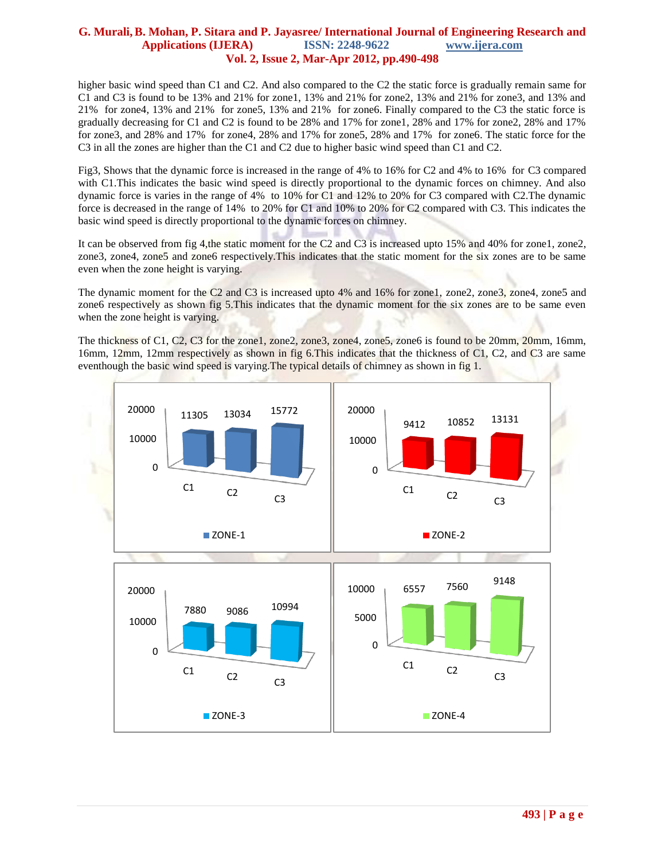higher basic wind speed than C1 and C2. And also compared to the C2 the static force is gradually remain same for C1 and C3 is found to be 13% and 21% for zone1, 13% and 21% for zone2, 13% and 21% for zone3, and 13% and 21% for zone4, 13% and 21% for zone5, 13% and 21% for zone6. Finally compared to the C3 the static force is gradually decreasing for C1 and C2 is found to be 28% and 17% for zone1, 28% and 17% for zone2, 28% and 17% for zone3, and 28% and 17% for zone4, 28% and 17% for zone5, 28% and 17% for zone6. The static force for the C3 in all the zones are higher than the C1 and C2 due to higher basic wind speed than C1 and C2.

Fig3, Shows that the dynamic force is increased in the range of 4% to 16% for C2 and 4% to 16% for C3 compared with C1.This indicates the basic wind speed is directly proportional to the dynamic forces on chimney. And also dynamic force is varies in the range of 4% to 10% for C1 and 12% to 20% for C3 compared with C2.The dynamic force is decreased in the range of 14% to 20% for C1 and 10% to 20% for C2 compared with C3. This indicates the basic wind speed is directly proportional to the dynamic forces on chimney.

It can be observed from fig 4,the static moment for the C2 and C3 is increased upto 15% and 40% for zone1, zone2, zone3, zone4, zone5 and zone6 respectively.This indicates that the static moment for the six zones are to be same even when the zone height is varying.

The dynamic moment for the C2 and C3 is increased upto 4% and 16% for zone1, zone2, zone3, zone4, zone5 and zone6 respectively as shown fig 5.This indicates that the dynamic moment for the six zones are to be same even when the zone height is varying.

The thickness of C1, C2, C3 for the zone1, zone2, zone3, zone4, zone5, zone6 is found to be 20mm, 20mm, 16mm, 16mm, 12mm, 12mm respectively as shown in fig 6.This indicates that the thickness of C1, C2, and C3 are same eventhough the basic wind speed is varying.The typical details of chimney as shown in fig 1.

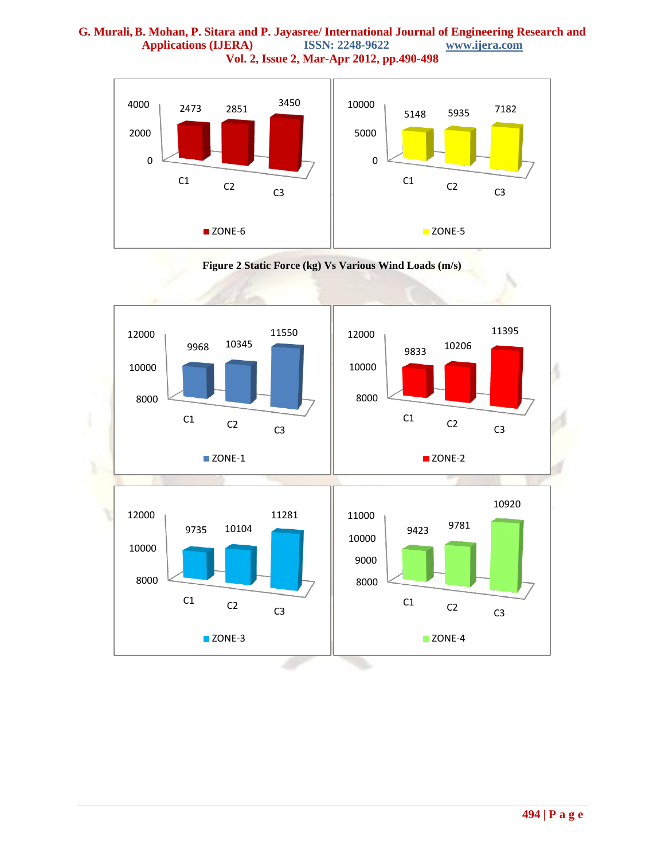



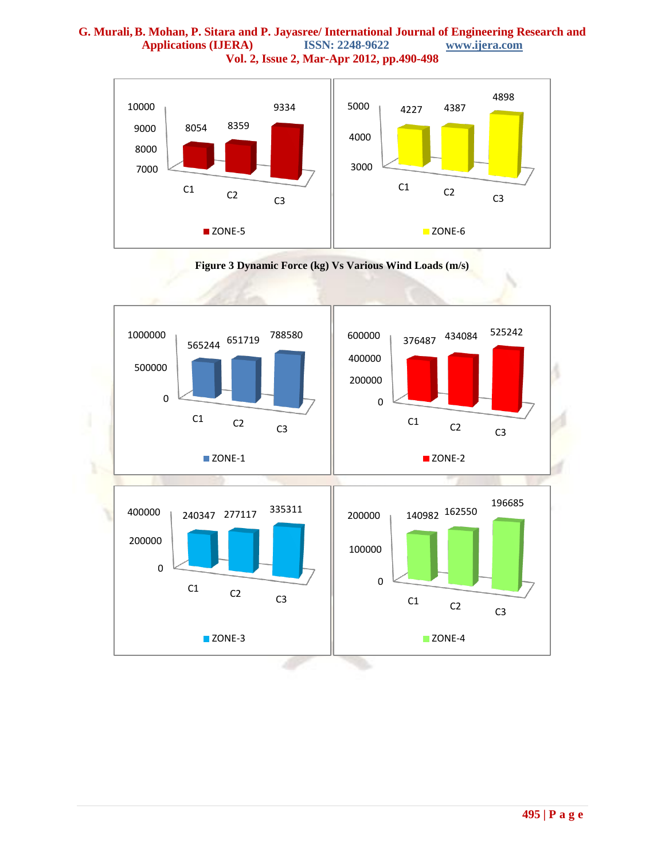



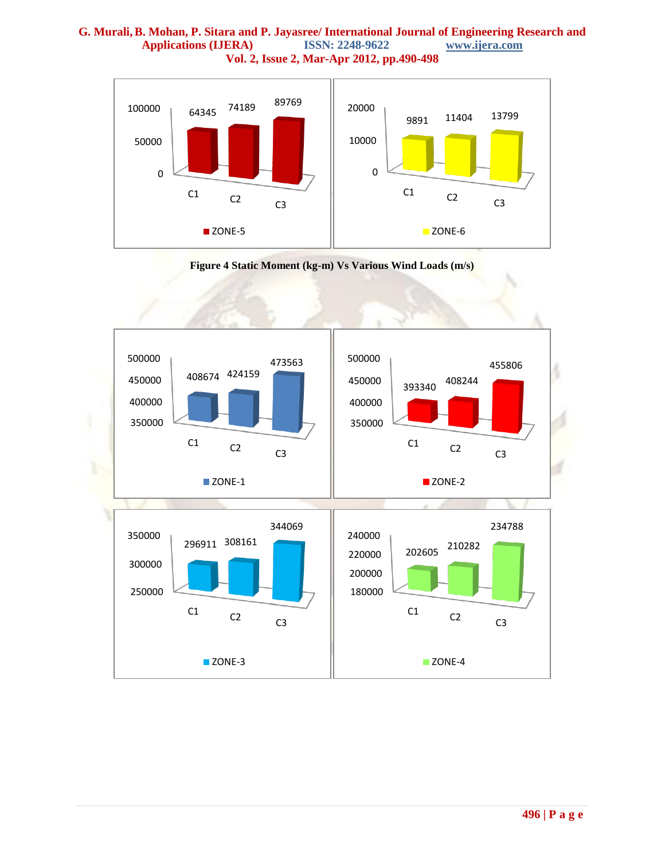



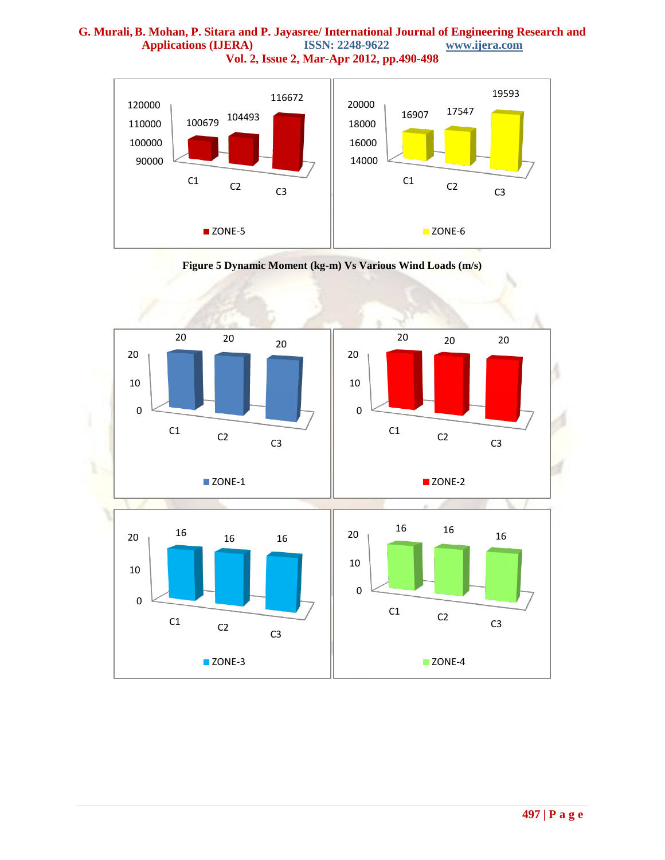